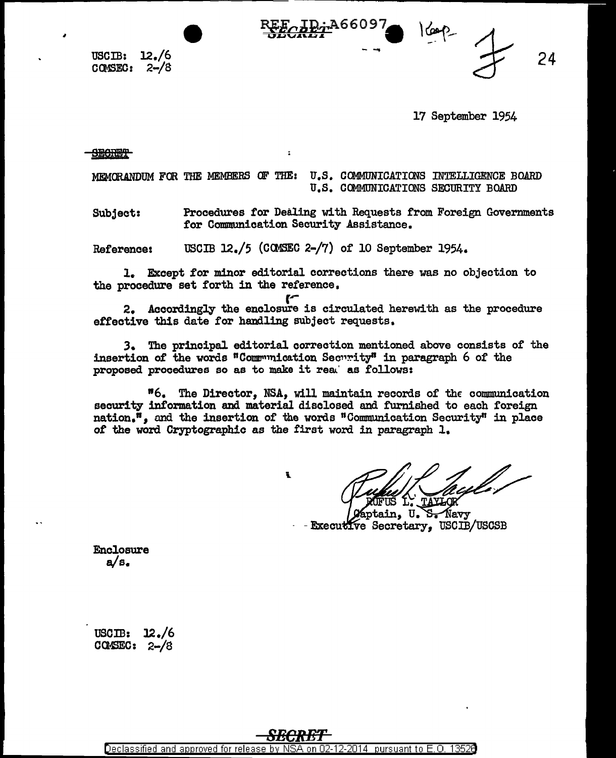$\texttt{USCIB:} \quad 12./6$ CCMSEO: 2-/8

 $-$  24

17 September 1954

<del>SECRET</del>

MEMORANDUM FOR THE MEMBERS OF THE: U.S. COMMUNICATIONS INTELLIGENCE BOARD U.S. COMMUNICATIONS SECURITY BOARD

Subject: Procedures for Dealing with Requests from Foreign Governments tor Communication Security Assistance.

Reference: USCIB 12./5 (COMSEC 2-/7) of 10 September 1954.

 $\ddot{\phantom{a}}$ 

l. Except for minor editorial corrections there was no objection to the procedure set forth in the reference,

**r-**

2. Accordingly the enclosure is circulated herewith as the procedure effective this date for handling subject requests.

J. The principal editorial correction mentioned above consists of the insertion of the words "Communication Security" in paragraph 6 of the proposed procedures so as to make it rea' as follows:

"6. The Director, NSA, will maintain records of the communication security information and material disclosed and furnished to each foreign nation.<sup>"</sup>. and the insertion of the words "Communication Security" in place of the word Cryptographic as the first word in paragraph l,

t

in. U. S. Navy Executive Secretary, USCIB/USCSB

Enclosure a/s.

uscm: l2./6  $C$ Camesc:  $2-\frac{1}{3}$ 

Declassified and approved for release by NSA on 02-12-2014 pursuant to E. 0. 1352B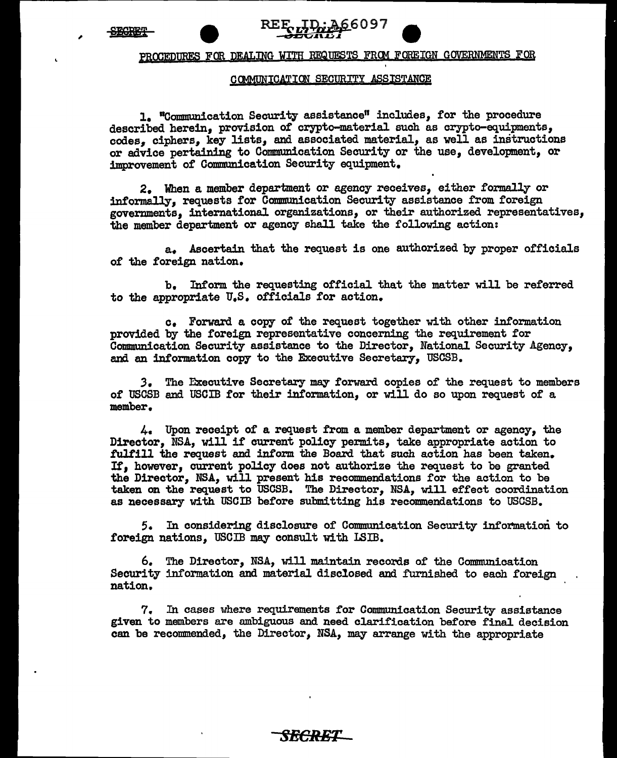,



## PROCEDURES FOR DEALING WITH REQUESTS FROM FOREIGN GOVERNMENTS FOR

'

## COMMUNICATION SECURITY ASSISTANCE

1. "Communication Security assistance" includes, for the procedure described herein, provision of crypto-material such as crypto-equipments, codes, ciphers, key lists, and associated material, as well as instructions or advice pertaining to Communication Security or the use, development, or improvement of Communication Security equipment.

2. When a member department or agency receives, either formally or informally, requests for Communication Security assistance from foreign governments, international organizations, or their authorized representatives, the member department or agency shall take the following action:

a. Ascertain that the request is one authorized by proper officials of the foreign nation.

b. Inform the requesting official that the matter will be referred to the appropriate U.S. officials for action.

c. Forward a copy of the request together with other information provided by the foreign representative concerning the requirement for Communication Security assistance to the Director, National Security Agency, and an information copy to the Executive Secretary, USCSB.

*3.* The Executive Secretary may forward copies of the request to members of USCSB and USCIB for their information, or will do so upon request of a member.

4. Upon receipt of a request from a member department or agency, the Director, NSA, will if current policy permits, take appropriate action to fulfill the request and inform the Board that such action has been taken. It, however, current policy does not authorize the request to be granted the Director, NSA, will present his recommendations for the action to be taken on the request to USCSB. The Director, NSA, will effect coordination as necessary with USCIB before submitting his recommendations to USCSB.

5. In considering disclosure of Communication Security information to foreign nations, USCIB may consult with LSIB.

6. The Director, NSA, will maintain records of the Communication Security information and material disclosed and furnished to each foreign nation,.

7. In cases where requirements for Communication Security assistance given to members are ambiguous and need clarification before final decision can be recommended, the Director, NSA, may arrange with the appropriate

*SECRET*